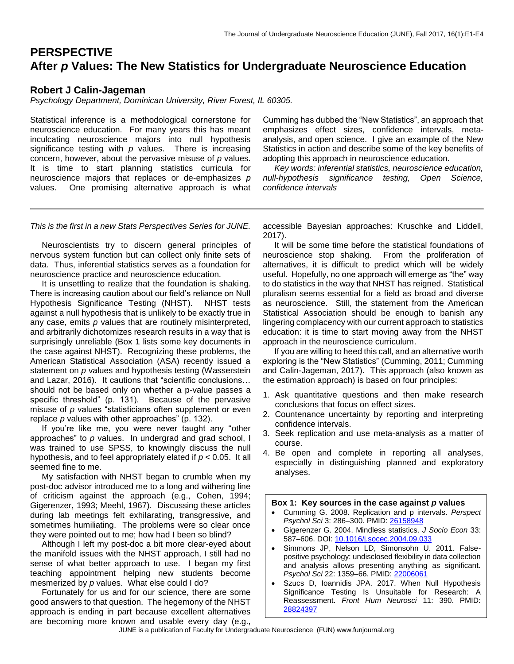# **PERSPECTIVE After** *p* **Values: The New Statistics for Undergraduate Neuroscience Education**

#### **Robert J Calin-Jageman**

*Psychology Department, Dominican University, River Forest, IL 60305.*

Statistical inference is a methodological cornerstone for neuroscience education. For many years this has meant inculcating neuroscience majors into null hypothesis significance testing with *p* values. There is increasing concern, however, about the pervasive misuse of *p* values. It is time to start planning statistics curricula for neuroscience majors that replaces or de-emphasizes *p*  values. One promising alternative approach is what Cumming has dubbed the "New Statistics", an approach that emphasizes effect sizes, confidence intervals, metaanalysis, and open science. I give an example of the New Statistics in action and describe some of the key benefits of adopting this approach in neuroscience education.

 *Key words: inferential statistics, neuroscience education, null-hypothesis significance testing, Open Science, confidence intervals*

*This is the first in a new Stats Perspectives Series for JUNE.*

 Neuroscientists try to discern general principles of nervous system function but can collect only finite sets of data. Thus, inferential statistics serves as a foundation for neuroscience practice and neuroscience education.

 It is unsettling to realize that the foundation is shaking. There is increasing caution about our field's reliance on Null Hypothesis Significance Testing (NHST). NHST tests against a null hypothesis that is unlikely to be exactly true in any case, emits *p* values that are routinely misinterpreted, and arbitrarily dichotomizes research results in a way that is surprisingly unreliable (Box 1 lists some key documents in the case against NHST). Recognizing these problems, the American Statistical Association (ASA) recently issued a statement on *p* values and hypothesis testing (Wasserstein and Lazar, 2016). It cautions that "scientific conclusions… should not be based only on whether a p-value passes a specific threshold" (p. 131). Because of the pervasive misuse of *p* values "statisticians often supplement or even replace *p* values with other approaches" (p. 132).

 If you're like me, you were never taught any "other approaches" to *p* values. In undergrad and grad school, I was trained to use SPSS, to knowingly discuss the null hypothesis, and to feel appropriately elated if *p* < 0.05. It all seemed fine to me.

 My satisfaction with NHST began to crumble when my post-doc advisor introduced me to a long and withering line of criticism against the approach (e.g., Cohen, 1994; Gigerenzer, 1993; Meehl, 1967). Discussing these articles during lab meetings felt exhilarating, transgressive, and sometimes humiliating. The problems were so clear once they were pointed out to me; how had I been so blind?

 Although I left my post-doc a bit more clear-eyed about the manifold issues with the NHST approach, I still had no sense of what better approach to use. I began my first teaching appointment helping new students become mesmerized by *p* values. What else could I do?

 Fortunately for us and for our science, there are some good answers to that question. The hegemony of the NHST approach is ending in part because excellent alternatives are becoming more known and usable every day (e.g., accessible Bayesian approaches: Kruschke and Liddell, 2017).

 It will be some time before the statistical foundations of neuroscience stop shaking. From the proliferation of alternatives, it is difficult to predict which will be widely useful. Hopefully, no one approach will emerge as "the" way to do statistics in the way that NHST has reigned. Statistical pluralism seems essential for a field as broad and diverse as neuroscience. Still, the statement from the American Statistical Association should be enough to banish any lingering complacency with our current approach to statistics education: it is time to start moving away from the NHST approach in the neuroscience curriculum.

 If you are willing to heed this call, and an alternative worth exploring is the "New Statistics" (Cumming, 2011; Cumming and Calin-Jageman, 2017). This approach (also known as the estimation approach) is based on four principles:

- 1. Ask quantitative questions and then make research conclusions that focus on effect sizes.
- 2. Countenance uncertainty by reporting and interpreting confidence intervals.
- 3. Seek replication and use meta-analysis as a matter of course.
- 4. Be open and complete in reporting all analyses, especially in distinguishing planned and exploratory analyses.

#### **Box 1: Key sources in the case against** *p* **values**

- Cumming G. 2008. Replication and p intervals. *Perspect Psychol Sci* 3: 286–300. PMID: [26158948](https://www.ncbi.nlm.nih.gov/pubmed/26158948)
- Gigerenzer G. 2004. Mindless statistics. *J Socio Econ* 33: 587–606. DOI: [10.1016/j.socec.2004.09.033](http://library.mpib-berlin.mpg.de/ft/gg/GG_Mindless_2004.pdf)
- Simmons JP, Nelson LD, Simonsohn U. 2011. Falsepositive psychology: undisclosed flexibility in data collection and analysis allows presenting anything as significant. *Psychol Sci* 22: 1359–66. PMID: [22006061](http://www.ncbi.nlm.nih.gov/pubmed/22006061)
- Szucs D, Ioannidis JPA. 2017. When Null Hypothesis Significance Testing Is Unsuitable for Research: A Reassessment. *Front Hum Neurosci* 11: 390. PMID: [28824397](https://www.ncbi.nlm.nih.gov/pubmed/28824397)

JUNE is a publication of Faculty for Undergraduate Neuroscience (FUN) www.funjournal.org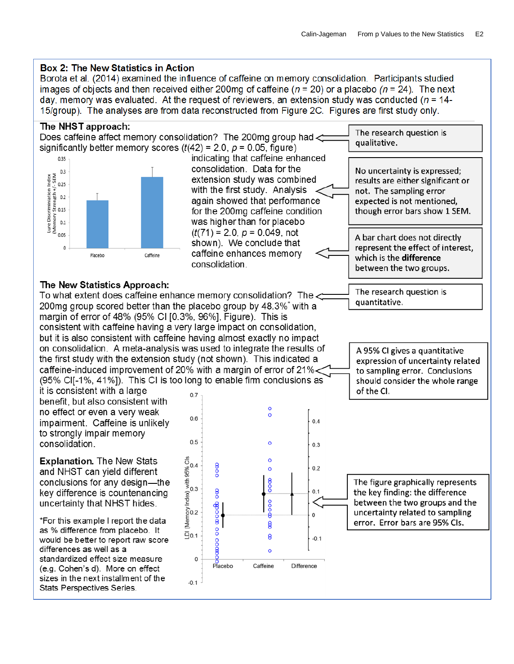### **Box 2: The New Statistics in Action**

Borota et al. (2014) examined the influence of caffeine on memory consolidation. Participants studied images of objects and then received either 200mg of caffeine ( $n = 20$ ) or a placebo ( $n = 24$ ). The next day, memory was evaluated. At the request of reviewers, an extension study was conducted ( $n = 14$ -15/group). The analyses are from data reconstructed from Figure 2C. Figures are first study only.

sizes in the next installment of the

Stats Perspectives Series.

 $-0.1$ 

The NHST approach: The research question is Does caffeine affect memory consolidation? The 200mg group had qualitative. significantly better memory scores  $(t(42) = 2.0, p = 0.05,$  figure) indicating that caffeine enhanced 0.35 consolidation. Data for the No uncertainty is expressed; e Discrimination Index<br>mory Strength +/- SEM<br>mory Strength -/<br>0.15<br>0.1  $0.3$ extension study was combined results are either significant or with the first study. Analysis not. The sampling error again showed that performance expected is not mentioned. for the 200mg caffeine condition though error bars show 1 SEM. ηoυ was higher than for placebo  $0.1$ Lure I<br>(Mem  $(t(71) = 2.0, p = 0.049, \text{not}$ 0.05 A bar chart does not directly shown). We conclude that represent the effect of interest,  $\Omega$ caffeine enhances memory Placebo Caffeine which is the difference consolidation between the two groups. The New Statistics Approach: The research question is To what extent does caffeine enhance memory consolidation? The < quantitative. 200mg group scored better than the placebo group by 48.3% with a margin of error of 48% (95% CI [0.3%, 96%], Figure). This is consistent with caffeine having a very large impact on consolidation, but it is also consistent with caffeine having almost exactly no impact on consolidation. A meta-analysis was used to integrate the results of A 95% CI gives a quantitative the first study with the extension study (not shown). This indicated a expression of uncertainty related caffeine-induced improvement of 20% with a margin of error of 21%< to sampling error. Conclusions (95% CII-1%, 41%)). This CI is too long to enable firm conclusions as should consider the whole range it is consistent with a large of the CI.  $0.7$ benefit, but also consistent with  $\circ$ no effect or even a very weak  $\circ$  $0.6$ impairment. Caffeine is unlikely  $0.4$ to strongly impair memory  $0.5$ consolidation.  $\circ$  $0.3$  $\frac{8}{9}$ <sub>0.4</sub> **Explanation. The New Stats**  $\circ$  $\frac{8}{2}$  $\frac{68}{3}$  with 95% of the pole in  $\frac{1}{3}$  $0.2$  $\circ$ and NHST can vield different  $\frac{8}{6}$ conclusions for any design—the The figure graphically represents  $\frac{8}{6}$ the key finding: the difference key difference is countenancing  $0.1$ ooo between the two groups and the uncertainty that NHST hides. താറൽ Memory I uncertainty related to sampling  $\Omega$ \*For this example I report the data error. Error bars are 95% Cls. 8 as % difference from placebo. It  $\frac{8}{1}$  $\bar{9}0.1$ 8  $-0.1$ would be better to report raw score poo differences as well as a  $\Omega$ standardized effect size measure  $\mathbf 0$ Placebo Difference Caffeine (e.g. Cohen's d). More on effect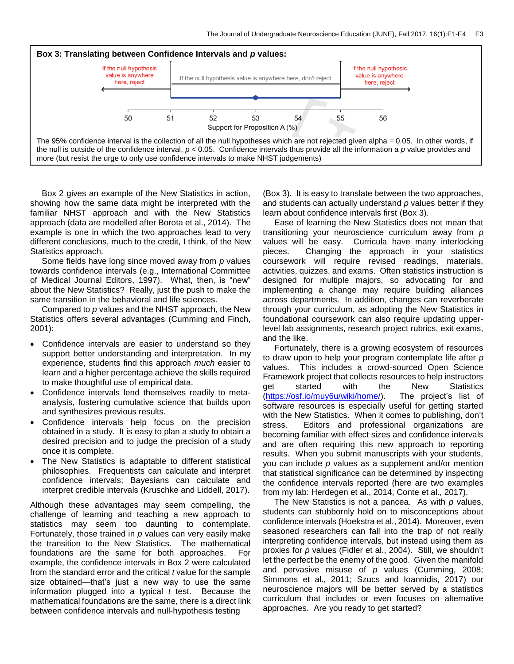

 Box 2 gives an example of the New Statistics in action, showing how the same data might be interpreted with the familiar NHST approach and with the New Statistics approach (data are modelled after Borota et al., 2014). The example is one in which the two approaches lead to very different conclusions, much to the credit, I think, of the New Statistics approach.

 Some fields have long since moved away from *p* values towards confidence intervals (e.g., International Committee of Medical Journal Editors, 1997). What, then, is "new" about the New Statistics? Really, just the push to make the same transition in the behavioral and life sciences.

 Compared to *p* values and the NHST approach, the New Statistics offers several advantages (Cumming and Finch, 2001):

- Confidence intervals are easier to understand so they support better understanding and interpretation. In my experience, students find this approach *much* easier to learn and a higher percentage achieve the skills required to make thoughtful use of empirical data.
- Confidence intervals lend themselves readily to metaanalysis, fostering cumulative science that builds upon and synthesizes previous results.
- Confidence intervals help focus on the precision obtained in a study. It is easy to plan a study to obtain a desired precision and to judge the precision of a study once it is complete.
- The New Statistics is adaptable to different statistical philosophies. Frequentists can calculate and interpret confidence intervals; Bayesians can calculate and interpret credible intervals (Kruschke and Liddell, 2017).

Although these advantages may seem compelling, the challenge of learning and teaching a new approach to statistics may seem too daunting to contemplate. Fortunately, those trained in *p* values can very easily make the transition to the New Statistics. The mathematical foundations are the same for both approaches. For example, the confidence intervals in Box 2 were calculated from the standard error and the critical *t* value for the sample size obtained—that's just a new way to use the same information plugged into a typical *t* test. Because the mathematical foundations are the same, there is a direct link between confidence intervals and null-hypothesis testing

(Box 3). It is easy to translate between the two approaches, and students can actually understand *p* values better if they learn about confidence intervals first (Box 3).

 Ease of learning the New Statistics does not mean that transitioning your neuroscience curriculum away from *p*  values will be easy. Curricula have many interlocking pieces. Changing the approach in your statistics coursework will require revised readings, materials, activities, quizzes, and exams. Often statistics instruction is designed for multiple majors, so advocating for and implementing a change may require building alliances across departments. In addition, changes can reverberate through your curriculum, as adopting the New Statistics in foundational coursework can also require updating upperlevel lab assignments, research project rubrics, exit exams, and the like.

 Fortunately, there is a growing ecosystem of resources to draw upon to help your program contemplate life after *p*  values. This includes a crowd-sourced Open Science Framework project that collects resources to help instructors get started with the New Statistics [\(https://osf.io/muy6u/wiki/home/\)](https://osf.io/muy6u/wiki/home/). The project's list of software resources is especially useful for getting started with the New Statistics. When it comes to publishing, don't stress. Editors and professional organizations are becoming familiar with effect sizes and confidence intervals and are often requiring this new approach to reporting results. When you submit manuscripts with your students, you can include *p* values as a supplement and/or mention that statistical significance can be determined by inspecting the confidence intervals reported (here are two examples from my lab: Herdegen et al., 2014; Conte et al., 2017).

 The New Statistics is not a pancea. As with *p* values, students can stubbornly hold on to misconceptions about confidence intervals (Hoekstra et al., 2014). Moreover, even seasoned researchers can fall into the trap of not really interpreting confidence intervals, but instead using them as proxies for *p* values (Fidler et al., 2004). Still, we shouldn't let the perfect be the enemy of the good. Given the manifold and pervasive misuse of *p* values (Cumming, 2008; Simmons et al., 2011; Szucs and Ioannidis, 2017) our neuroscience majors will be better served by a statistics curriculum that includes or even focuses on alternative approaches. Are you ready to get started?